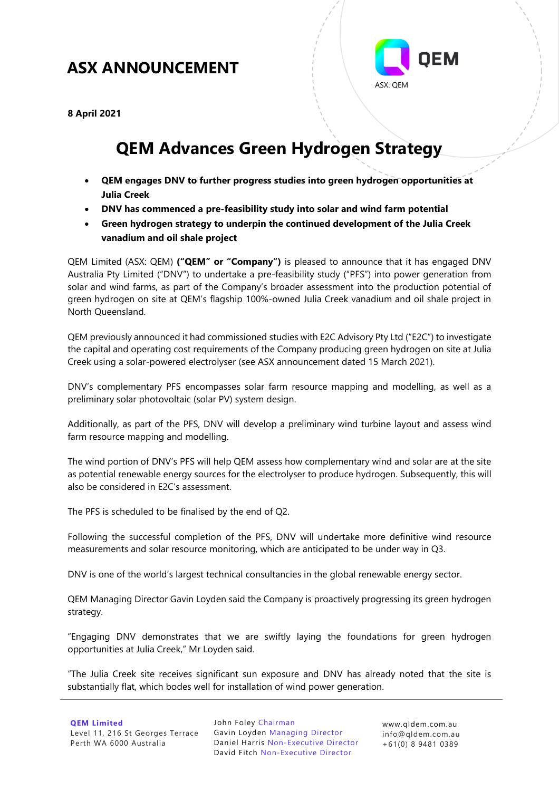# **ASX ANNOUNCEMENT ASX ANNOUNCEMENT**



**8 April 2021**

# **QEM Advances Green Hydrogen Strategy**

- **QEM engages DNV to further progress studies into green hydrogen opportunities at Julia Creek**
- **DNV has commenced a pre-feasibility study into solar and wind farm potential**
- **Green hydrogen strategy to underpin the continued development of the Julia Creek vanadium and oil shale project**

QEM Limited (ASX: QEM) **("QEM" or "Company")** is pleased to announce that it has engaged DNV Australia Pty Limited ("DNV") to undertake a pre-feasibility study ("PFS") into power generation from solar and wind farms, as part of the Company's broader assessment into the production potential of green hydrogen on site at QEM's flagship 100%-owned Julia Creek vanadium and oil shale project in North Queensland.

QEM previously announced it had commissioned studies with E2C Advisory Pty Ltd ("E2C") to investigate the capital and operating cost requirements of the Company producing green hydrogen on site at Julia Creek using a solar-powered electrolyser (see ASX announcement dated 15 March 2021).

DNV's complementary PFS encompasses solar farm resource mapping and modelling, as well as a preliminary solar photovoltaic (solar PV) system design.

Additionally, as part of the PFS, DNV will develop a preliminary wind turbine layout and assess wind farm resource mapping and modelling.

The wind portion of DNV's PFS will help QEM assess how complementary wind and solar are at the site as potential renewable energy sources for the electrolyser to produce hydrogen. Subsequently, this will also be considered in E2C's assessment.

The PFS is scheduled to be finalised by the end of Q2.

Following the successful completion of the PFS, DNV will undertake more definitive wind resource measurements and solar resource monitoring, which are anticipated to be under way in Q3.

DNV is one of the world's largest technical consultancies in the global renewable energy sector.

QEM Managing Director Gavin Loyden said the Company is proactively progressing its green hydrogen strategy.

"Engaging DNV demonstrates that we are swiftly laying the foundations for green hydrogen opportunities at Julia Creek," Mr Loyden said.

"The Julia Creek site receives significant sun exposure and DNV has already noted that the site is substantially flat, which bodes well for installation of wind power generation.

John Foley Chairman Gavin Loyden Managing Director Daniel Harris Non-Executive Director David Fitch Non-Executive Director

[www.qldem.com.au](http://www.qldem.com.au/) info@qldem.com.au +61(0) 8 9481 0389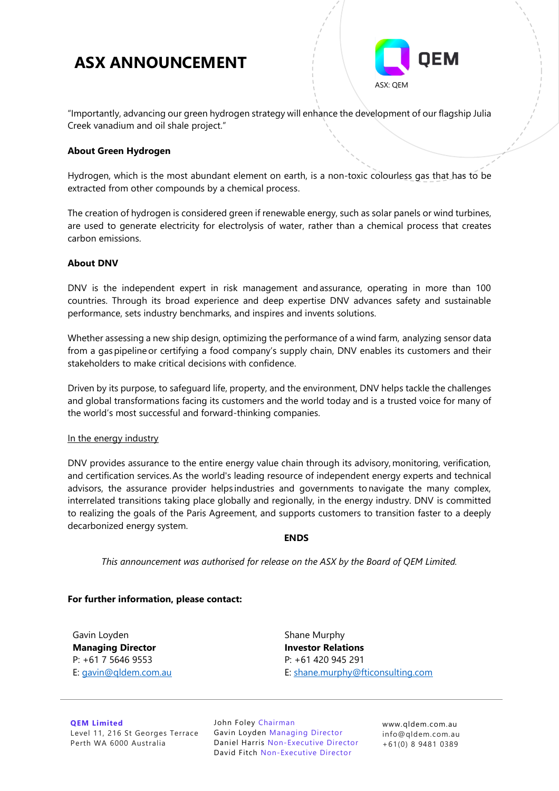## **ASX ANNOUNCEMENT**



"Importantly, advancing our green hydrogen strategy will enhance the development of our flagship Julia Creek vanadium and oil shale project."

#### **About Green Hydrogen**

Hydrogen, which is the most abundant element on earth, is a non-toxic colourless gas that has to be extracted from other compounds by a chemical process.

The creation of hydrogen is considered green if renewable energy, such as solar panels or wind turbines, are used to generate electricity for electrolysis of water, rather than a chemical process that creates carbon emissions.

#### **About DNV**

DNV is the independent expert in risk management and assurance, operating in more than 100 countries. Through its broad experience and deep expertise DNV advances safety and sustainable performance, sets industry benchmarks, and inspires and invents solutions.  

Whether assessing a new ship design, optimizing the performance of a wind farm, analyzing sensor data from a gas pipeline or certifying a food company's supply chain, DNV enables its customers and their stakeholders to make critical decisions with confidence.  

Driven by its purpose, to safeguard life, property, and the environment, DNV helps tackle the challenges and global transformations facing its customers and the world today and is a trusted voice for many of the world's most successful and forward-thinking companies. 

#### In the energy industry

DNV provides assurance to the entire energy value chain through its advisory, monitoring, verification, and certification services. As the world's leading resource of independent energy experts and technical advisors, the assurance provider helps industries and governments to navigate the many complex, interrelated transitions taking place globally and regionally, in the energy industry. DNV is committed to realizing the goals of the Paris Agreement, and supports customers to transition faster to a deeply decarbonized energy system.

#### **ENDS**

*This announcement was authorised for release on the ASX by the Board of QEM Limited.*

#### **For further information, please contact:**

Gavin Loyden **Managing Director**  P: +61 7 5646 9553 E: [gavin@qldem.com.au](mailto:gavin@qldem.com.au) Shane Murphy **Investor Relations** P: +61 420 945 291 E: [shane.murphy@fticonsulting.com](mailto:Cameron.Morse@fticonsulting.com)

**QEM Limited** Level 11, 216 St Georges Terrace Perth WA 6000 Australia

John Foley Chairman Gavin Loyden Managing Director Daniel Harris Non-Executive Director David Fitch Non-Executive Director

[www.qldem.com.au](http://www.qldem.com.au/) info@qldem.com.au +61(0) 8 9481 0389